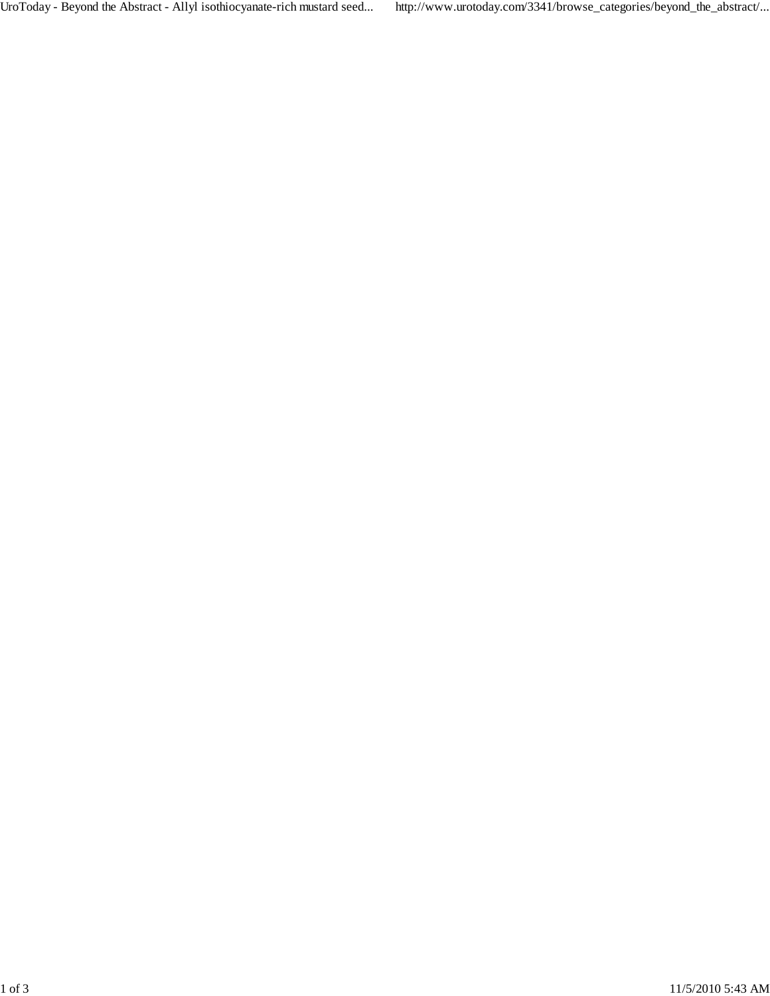UroToday - Beyond the Abstract - Allyl isothiocyanate-rich mustard seed... http://www.urotoday.com/3341/browse\_categories/beyond\_the\_abstract/...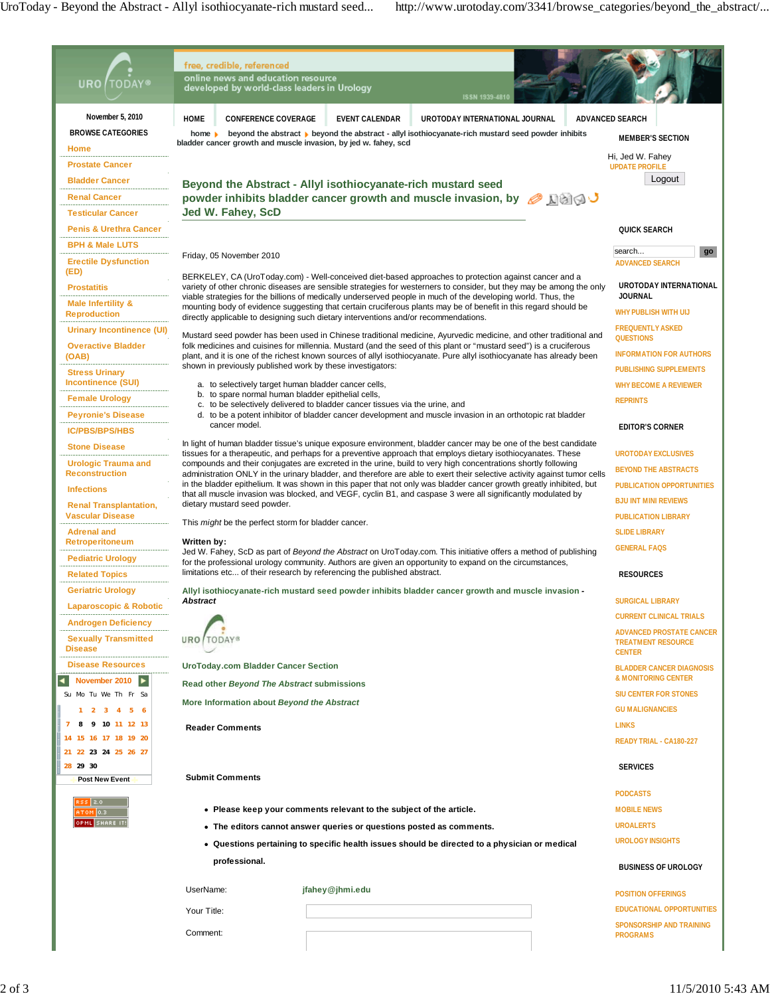